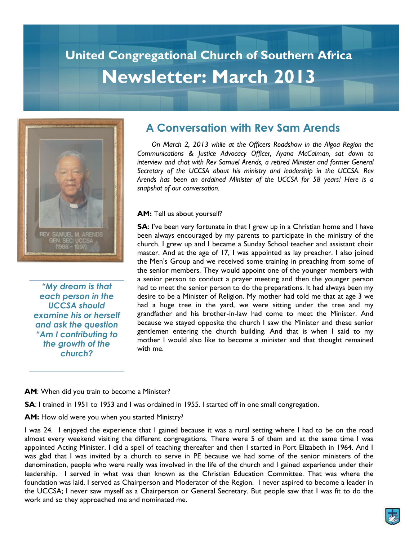## **United Congregational Church of Southern Africa Newsletter: March 2013**



*"My dream is that each person in the UCCSA should examine his or herself and ask the question "Am I contributing to the growth of the church?* 

## **A Conversation with Rev Sam Arends**

 *On March 2, 2013 while at the Officers Roadshow in the Algoa Region the Communications & Justice Advocacy Officer, Ayana McCalman, sat down to interview and chat with Rev Samuel Arends, a retired Minister and former General Secretary of the UCCSA about his ministry and leadership in the UCCSA. Rev Arends has been an ordained Minister of the UCCSA for 58 years! Here is a snapshot of our conversation.*

#### **AM:** Tell us about yourself?

**SA:** I've been very fortunate in that I grew up in a Christian home and I have been always encouraged by my parents to participate in the ministry of the church. I grew up and I became a Sunday School teacher and assistant choir master. And at the age of 17, I was appointed as lay preacher. I also joined the Men"s Group and we received some training in preaching from some of the senior members. They would appoint one of the younger members with a senior person to conduct a prayer meeting and then the younger person had to meet the senior person to do the preparations. It had always been my desire to be a Minister of Religion. My mother had told me that at age 3 we had a huge tree in the yard, we were sitting under the tree and my grandfather and his brother-in-law had come to meet the Minister. And because we stayed opposite the church I saw the Minister and these senior gentlemen entering the church building. And that is when I said to my mother I would also like to become a minister and that thought remained with me.

#### **AM**: When did you train to become a Minister?

**SA**: I trained in 1951 to 1953 and I was ordained in 1955. I started off in one small congregation.

**AM:** How old were you when you started Ministry?

I was 24. I enjoyed the experience that I gained because it was a rural setting where I had to be on the road almost every weekend visiting the different congregations. There were 5 of them and at the same time I was appointed Acting Minister. I did a spell of teaching thereafter and then I started in Port Elizabeth in 1964. And I was glad that I was invited by a church to serve in PE because we had some of the senior ministers of the denomination, people who were really was involved in the life of the church and I gained experience under their leadership. I served in what was then known as the Christian Education Committee. That was where the foundation was laid. I served as Chairperson and Moderator of the Region. I never aspired to become a leader in the UCCSA; I never saw myself as a Chairperson or General Secretary. But people saw that I was fit to do the work and so they approached me and nominated me.

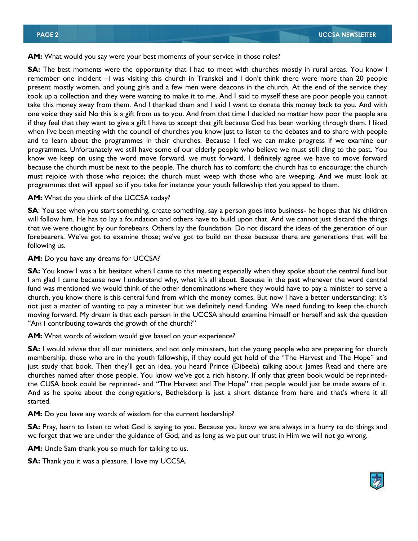**AM:** What would you say were your best moments of your service in those roles?

**SA:** The best moments were the opportunity that I had to meet with churches mostly in rural areas. You know I remember one incident –I was visiting this church in Transkei and I don"t think there were more than 20 people present mostly women, and young girls and a few men were deacons in the church. At the end of the service they took up a collection and they were wanting to make it to me. And I said to myself these are poor people you cannot take this money away from them. And I thanked them and I said I want to donate this money back to you. And with one voice they said No this is a gift from us to you. And from that time I decided no matter how poor the people are if they feel that they want to give a gift I have to accept that gift because God has been working through them. I liked when I've been meeting with the council of churches you know just to listen to the debates and to share with people and to learn about the programmes in their churches. Because I feel we can make progress if we examine our programmes. Unfortunately we still have some of our elderly people who believe we must still cling to the past. You know we keep on using the word move forward, we must forward. I definitely agree we have to move forward because the church must be next to the people. The church has to comfort; the church has to encourage; the church must rejoice with those who rejoice; the church must weep with those who are weeping. And we must look at programmes that will appeal so if you take for instance your youth fellowship that you appeal to them.

**AM:** What do you think of the UCCSA today?

**SA**: You see when you start something, create something, say a person goes into business- he hopes that his children will follow him. He has to lay a foundation and others have to build upon that. And we cannot just discard the things that we were thought by our forebears. Others lay the foundation. Do not discard the ideas of the generation of our forebearers. We've got to examine those; we've got to build on those because there are generations that will be following us.

#### **AM:** Do you have any dreams for UCCSA?

**SA:** You know I was a bit hesitant when I came to this meeting especially when they spoke about the central fund but I am glad I came because now I understand why, what it's all about. Because in the past whenever the word central fund was mentioned we would think of the other denominations where they would have to pay a minister to serve a church, you know there is this central fund from which the money comes. But now I have a better understanding; it"s not just a matter of wanting to pay a minister but we definitely need funding. We need funding to keep the church moving forward. My dream is that each person in the UCCSA should examine himself or herself and ask the question "Am I contributing towards the growth of the church?"

**AM:** What words of wisdom would give based on your experience?

**SA:** I would advise that all our ministers, and not only ministers, but the young people who are preparing for church membership, those who are in the youth fellowship, if they could get hold of the "The Harvest and The Hope" and just study that book. Then they"ll get an idea, you heard Prince (Dibeela) talking about James Read and there are churches named after those people. You know we"ve got a rich history. If only that green book would be reprintedthe CUSA book could be reprinted- and "The Harvest and The Hope" that people would just be made aware of it. And as he spoke about the congregations, Bethelsdorp is just a short distance from here and that's where it all started.

**AM:** Do you have any words of wisdom for the current leadership?

**SA:** Pray, learn to listen to what God is saying to you. Because you know we are always in a hurry to do things and we forget that we are under the guidance of God; and as long as we put our trust in Him we will not go wrong.

**AM:** Uncle Sam thank you so much for talking to us.

**SA:** Thank you it was a pleasure. I love my UCCSA.

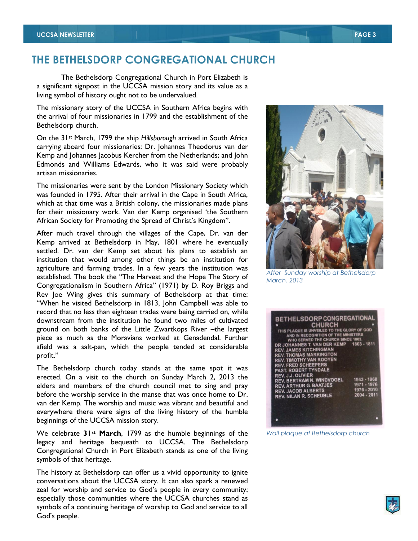## **THE BETHELSDORP CONGREGATIONAL CHURCH**

The Bethelsdorp Congregational Church in Port Elizabeth is a significant signpost in the UCCSA mission story and its value as a living symbol of history ought not to be undervalued.

The missionary story of the UCCSA in Southern Africa begins with the arrival of four missionaries in 1799 and the establishment of the Bethelsdorp church.

On the 31st March, 1799 the ship *Hillsborough* arrived in South Africa carrying aboard four missionaries: Dr. Johannes Theodorus van der Kemp and Johannes Jacobus Kercher from the Netherlands; and John Edmonds and Williams Edwards, who it was said were probably artisan missionaries.

The missionaries were sent by the London Missionary Society which was founded in 1795. After their arrival in the Cape in South Africa, which at that time was a British colony, the missionaries made plans for their missionary work. Van der Kemp organised "the Southern African Society for Promoting the Spread of Christ's Kingdom".

After much travel through the villages of the Cape, Dr. van der Kemp arrived at Bethelsdorp in May, 1801 where he eventually settled. Dr. van der Kemp set about his plans to establish an institution that would among other things be an institution for agriculture and farming trades. In a few years the institution was established. The book the "The Harvest and the Hope The Story of Congregationalism in Southern Africa" (1971) by D. Roy Briggs and Rev Joe Wing gives this summary of Bethelsdorp at that time: "When he visited Bethelsdorp in 1813, John Campbell was able to record that no less than eighteen trades were being carried on, while downstream from the institution he found two miles of cultivated ground on both banks of the Little Zwartkops River –the largest piece as much as the Moravians worked at Genadendal. Further afield was a salt-pan, which the people tended at considerable profit."

The Bethelsdorp church today stands at the same spot it was erected. On a visit to the church on Sunday March 2, 2013 the elders and members of the church council met to sing and pray before the worship service in the manse that was once home to Dr. van der Kemp. The worship and music was vibrant and beautiful and everywhere there were signs of the living history of the humble beginnings of the UCCSA mission story.

We celebrate **31st March**, 1799 as the humble beginnings of the legacy and heritage bequeath to UCCSA. The Bethelsdorp Congregational Church in Port Elizabeth stands as one of the living symbols of that heritage.

The history at Bethelsdorp can offer us a vivid opportunity to ignite conversations about the UCCSA story. It can also spark a renewed zeal for worship and service to God"s people in every community; especially those communities where the UCCSA churches stand as symbols of a continuing heritage of worship to God and service to all God"s people.

*After Sunday worship at Bethelsdorp March, 2013* 

| <b>BETHELSDORP CONGREGATIONAL</b><br><b>CHURCH</b><br>THIS PLAQUE IS UNVEILED TO THE GLORY OF GOD<br>AND IN RECOGNITION OF THE MINISTERS<br>WHO SERVED THE CHURCH SINCE 1803.<br>DR JOHANNES T. VAN DER KEMP 1803 - 1811<br><b>REV. JAMES KITCHINGMAN</b><br><b>REV. THOMAS MARRINGTON</b><br><b>REV. TIMOTHY VAN ROOYEN</b><br><b>REV. FRED SCHEEPERS</b><br><b>PAST. ROBERT TYNDALE</b><br><b>REV. J.J. OLIVIER</b><br><b>REV. BERTRAM N. WINDVOGEL</b><br><b>REV. ARTHUR G. BAATJES</b><br><b>REV. JACOB ALBERTS</b><br><b>REV. NILAN R. SCHEUBLE</b> | 1943 - 1968<br>1971 - 1976<br>1976 - 2010<br>2004 - 2011 |
|----------------------------------------------------------------------------------------------------------------------------------------------------------------------------------------------------------------------------------------------------------------------------------------------------------------------------------------------------------------------------------------------------------------------------------------------------------------------------------------------------------------------------------------------------------|----------------------------------------------------------|
|                                                                                                                                                                                                                                                                                                                                                                                                                                                                                                                                                          |                                                          |

*Wall plaque at Bethelsdorp church* 



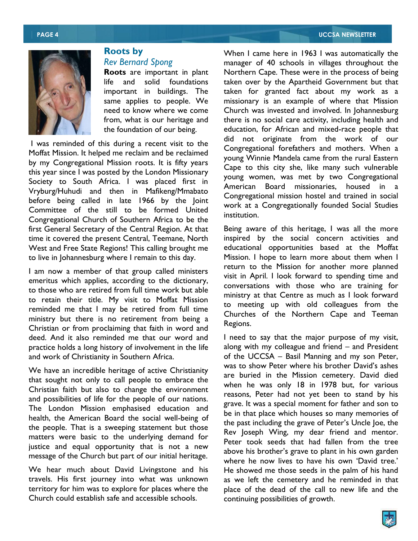#### **PAGE 4 UCCSA NEWSLETTER**



## **Roots by**  *Rev Bernard Spong* **Roots** are important in plant

life and solid foundations important in buildings. The same applies to people. We need to know where we come from, what is our heritage and the foundation of our being.

I was reminded of this during a recent visit to the Moffat Mission. It helped me reclaim and be reclaimed by my Congregational Mission roots. It is fifty years this year since I was posted by the London Missionary Society to South Africa. I was placed first in Vryburg/Huhudi and then in Mafikeng/Mmabato before being called in late 1966 by the Joint Committee of the still to be formed United Congregational Church of Southern Africa to be the first General Secretary of the Central Region. At that time it covered the present Central, Teemane, North West and Free State Regions! This calling brought me to live in Johannesburg where I remain to this day.

I am now a member of that group called ministers emeritus which applies, according to the dictionary, to those who are retired from full time work but able to retain their title. My visit to Moffat Mission reminded me that I may be retired from full time ministry but there is no retirement from being a Christian or from proclaiming that faith in word and deed. And it also reminded me that our word and practice holds a long history of involvement in the life and work of Christianity in Southern Africa.

We have an incredible heritage of active Christianity that sought not only to call people to embrace the Christian faith but also to change the environment and possibilities of life for the people of our nations. The London Mission emphasised education and health, the American Board the social well-being of the people. That is a sweeping statement but those matters were basic to the underlying demand for justice and equal opportunity that is not a new message of the Church but part of our initial heritage.

We hear much about David Livingstone and his travels. His first journey into what was unknown territory for him was to explore for places where the Church could establish safe and accessible schools.

When I came here in 1963 I was automatically the manager of 40 schools in villages throughout the Northern Cape. These were in the process of being taken over by the Apartheid Government but that taken for granted fact about my work as a missionary is an example of where that Mission Church was invested and involved. In Johannesburg there is no social care activity, including health and education, for African and mixed-race people that did not originate from the work of our Congregational forefathers and mothers. When a young Winnie Mandela came from the rural Eastern Cape to this city she, like many such vulnerable young women, was met by two Congregational American Board missionaries, housed in a Congregational mission hostel and trained in social work at a Congregationally founded Social Studies institution.

Being aware of this heritage, I was all the more inspired by the social concern activities and educational opportunities based at the Moffat Mission. I hope to learn more about them when I return to the Mission for another more planned visit in April. I look forward to spending time and conversations with those who are training for ministry at that Centre as much as I look forward to meeting up with old colleagues from the Churches of the Northern Cape and Teeman Regions.

I need to say that the major purpose of my visit, along with my colleague and friend – and President of the UCCSA – Basil Manning and my son Peter, was to show Peter where his brother David's ashes are buried in the Mission cemetery. David died when he was only 18 in 1978 but, for various reasons, Peter had not yet been to stand by his grave. It was a special moment for father and son to be in that place which houses so many memories of the past including the grave of Peter"s Uncle Joe, the Rev Joseph Wing, my dear friend and mentor. Peter took seeds that had fallen from the tree above his brother's grave to plant in his own garden where he now lives to have his own 'David tree.' He showed me those seeds in the palm of his hand as we left the cemetery and he reminded in that place of the dead of the call to new life and the continuing possibilities of growth.

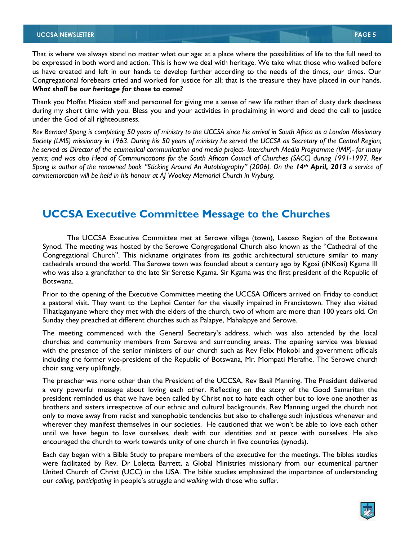That is where we always stand no matter what our age: at a place where the possibilities of life to the full need to be expressed in both word and action. This is how we deal with heritage. We take what those who walked before us have created and left in our hands to develop further according to the needs of the times, our times. Our Congregational forebears cried and worked for justice for all; that is the treasure they have placed in our hands. *What shall be our heritage for those to come?*

Thank you Moffat Mission staff and personnel for giving me a sense of new life rather than of dusty dark deadness during my short time with you. Bless you and your activities in proclaiming in word and deed the call to justice under the God of all righteousness.

*Rev Bernard Spong is completing 50 years of ministry to the UCCSA since his arrival in South Africa as a London Missionary Society (LMS) missionary in 1963. During his 50 years of ministry he served the UCCSA as Secretary of the Central Region; he served as Director of the ecumenical communication and media project- Interchurch Media Programme (IMP)- for many years; and was also Head of Communications for the South African Council of Churches (SACC) during 1991-1997. Rev Spong is author of the renowned book "Sticking Around An Autobiography" (2006). On the 14<sup>th</sup> April, 2013 a service of commemoration will be held in his honour at AJ Wookey Memorial Church in Vryburg.*

## **UCCSA Executive Committee Message to the Churches**

The UCCSA Executive Committee met at Serowe village (town), Lesoso Region of the Botswana Synod. The meeting was hosted by the Serowe Congregational Church also known as the "Cathedral of the Congregational Church". This nickname originates from its gothic architectural structure similar to many cathedrals around the world. The Serowe town was founded about a century ago by Kgosi (iNKosi) Kgama III who was also a grandfather to the late Sir Seretse Kgama. Sir Kgama was the first president of the Republic of Botswana.

Prior to the opening of the Executive Committee meeting the UCCSA Officers arrived on Friday to conduct a pastoral visit. They went to the Lephoi Center for the visually impaired in Francistown. They also visited Tlhatlaganyane where they met with the elders of the church, two of whom are more than 100 years old. On Sunday they preached at different churches such as Palapye, Mahalapye and Serowe.

The meeting commenced with the General Secretary"s address, which was also attended by the local churches and community members from Serowe and surrounding areas. The opening service was blessed with the presence of the senior ministers of our church such as Rev Felix Mokobi and government officials including the former vice-president of the Republic of Botswana, Mr. Mompati Merafhe. The Serowe church choir sang very upliftingly.

The preacher was none other than the President of the UCCSA, Rev Basil Manning. The President delivered a very powerful message about loving each other. Reflecting on the story of the Good Samaritan the president reminded us that we have been called by Christ not to hate each other but to love one another as brothers and sisters irrespective of our ethnic and cultural backgrounds. Rev Manning urged the church not only to move away from racist and xenophobic tendencies but also to challenge such injustices whenever and wherever they manifest themselves in our societies. He cautioned that we won't be able to love each other until we have begun to love ourselves, dealt with our identities and at peace with ourselves. He also encouraged the church to work towards unity of one church in five countries (synods).

Each day began with a Bible Study to prepare members of the executive for the meetings. The bibles studies were facilitated by Rev. Dr Loletta Barrett, a Global Ministries missionary from our ecumenical partner United Church of Christ (UCC) in the USA. The bible studies emphasized the importance of understanding our *calling*, *participating* in people"s struggle and *walking* with those who suffer.

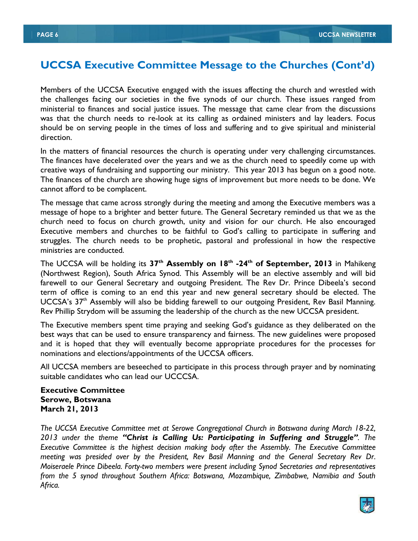## **UCCSA Executive Committee Message to the Churches (Cont'd)**

Members of the UCCSA Executive engaged with the issues affecting the church and wrestled with the challenges facing our societies in the five synods of our church. These issues ranged from ministerial to finances and social justice issues. The message that came clear from the discussions was that the church needs to re-look at its calling as ordained ministers and lay leaders. Focus should be on serving people in the times of loss and suffering and to give spiritual and ministerial direction.

In the matters of financial resources the church is operating under very challenging circumstances. The finances have decelerated over the years and we as the church need to speedily come up with creative ways of fundraising and supporting our ministry. This year 2013 has begun on a good note. The finances of the church are showing huge signs of improvement but more needs to be done. We cannot afford to be complacent.

The message that came across strongly during the meeting and among the Executive members was a message of hope to a brighter and better future. The General Secretary reminded us that we as the church need to focus on church growth, unity and vision for our church. He also encouraged Executive members and churches to be faithful to God"s calling to participate in suffering and struggles. The church needs to be prophetic, pastoral and professional in how the respective ministries are conducted.

The UCCSA will be holding its **37th Assembly on 18th -24th of September, 2013** in Mahikeng (Northwest Region), South Africa Synod. This Assembly will be an elective assembly and will bid farewell to our General Secretary and outgoing President. The Rev Dr. Prince Dibeela's second term of office is coming to an end this year and new general secretary should be elected. The UCCSA's 37<sup>th</sup> Assembly will also be bidding farewell to our outgoing President, Rev Basil Manning. Rev Phillip Strydom will be assuming the leadership of the church as the new UCCSA president.

The Executive members spent time praying and seeking God"s guidance as they deliberated on the best ways that can be used to ensure transparency and fairness. The new guidelines were proposed and it is hoped that they will eventually become appropriate procedures for the processes for nominations and elections/appointments of the UCCSA officers.

All UCCSA members are beseeched to participate in this process through prayer and by nominating suitable candidates who can lead our UCCCSA.

#### **Executive Committee Serowe, Botswana March 21, 2013**

*The UCCSA Executive Committee met at Serowe Congregational Church in Botswana during March 18-22, 2013 under the theme "Christ is Calling Us: Participating in Suffering and Struggle". The Executive Committee is the highest decision making body after the Assembly. The Executive Committee meeting was presided over by the President, Rev Basil Manning and the General Secretary Rev Dr. Moiseraele Prince Dibeela. Forty-two members were present including Synod Secretaries and representatives from the 5 synod throughout Southern Africa: Botswana, Mozambique, Zimbabwe, Namibia and South Africa.*

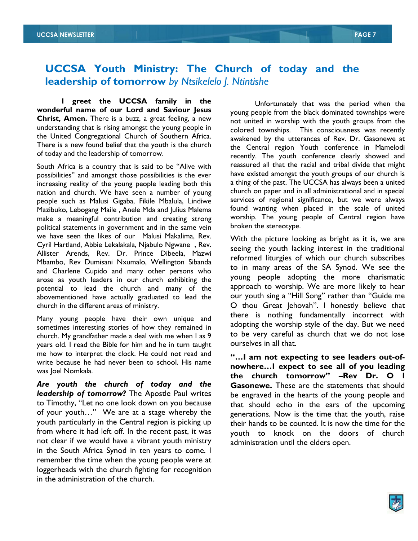## **UCCSA Youth Ministry: The Church of today and the leadership of tomorrow** *by Ntsikelelo J. Ntintishe*

**I greet the UCCSA family in the wonderful name of our Lord and Saviour Jesus Christ, Amen.** There is a buzz, a great feeling, a new understanding that is rising amongst the young people in the United Congregational Church of Southern Africa. There is a new found belief that the youth is the church of today and the leadership of tomorrow.

South Africa is a country that is said to be "Alive with possibilities" and amongst those possibilities is the ever increasing reality of the young people leading both this nation and church. We have seen a number of young people such as Malusi Gigaba, Fikile Mbalula, Lindiwe Mazibuko, Lebogang Maile , Anele Mda and Julius Malema make a meaningful contribution and creating strong political statements in government and in the same vein we have seen the likes of our Malusi Makalima, Rev. Cyril Hartland, Abbie Lekalakala, Njabulo Ngwane , Rev. Allister Arends, Rev. Dr. Prince Dibeela, Mazwi Mbambo, Rev Dumisani Nxumalo, Wellington Sibanda and Charlene Cupido and many other persons who arose as youth leaders in our church exhibiting the potential to lead the church and many of the abovementioned have actually graduated to lead the church in the different areas of ministry.

Many young people have their own unique and sometimes interesting stories of how they remained in church. My grandfather made a deal with me when I as 9 years old. I read the Bible for him and he in turn taught me how to interpret the clock. He could not read and write because he had never been to school. His name was Joel Nomkala.

*Are youth the church of today and the leadership of tomorrow?* The Apostle Paul writes to Timothy, "Let no one look down on you because of your youth…" We are at a stage whereby the youth particularly in the Central region is picking up from where it had left off. In the recent past, it was not clear if we would have a vibrant youth ministry in the South Africa Synod in ten years to come. I remember the time when the young people were at loggerheads with the church fighting for recognition in the administration of the church.

Unfortunately that was the period when the young people from the black dominated townships were not united in worship with the youth groups from the colored townships. This consciousness was recently awakened by the utterances of Rev. Dr. Gasonewe at the Central region Youth conference in Mamelodi recently. The youth conference clearly showed and reassured all that the racial and tribal divide that might have existed amongst the youth groups of our church is a thing of the past. The UCCSA has always been a united church on paper and in all administrational and in special services of regional significance, but we were always found wanting when placed in the scale of united worship. The young people of Central region have broken the stereotype.

With the picture looking as bright as it is, we are seeing the youth lacking interest in the traditional reformed liturgies of which our church subscribes to in many areas of the SA Synod. We see the young people adopting the more charismatic approach to worship. We are more likely to hear our youth sing a "Hill Song" rather than "Guide me O thou Great Jehovah". I honestly believe that there is nothing fundamentally incorrect with adopting the worship style of the day. But we need to be very careful as church that we do not lose ourselves in all that.

**"…I am not expecting to see leaders out-ofnowhere…I expect to see all of you leading the church tomorrow" –Rev Dr. O I Gasonewe.** These are the statements that should be engraved in the hearts of the young people and that should echo in the ears of the upcoming generations. Now is the time that the youth, raise their hands to be counted. It is now the time for the youth to knock on the doors of church administration until the elders open.

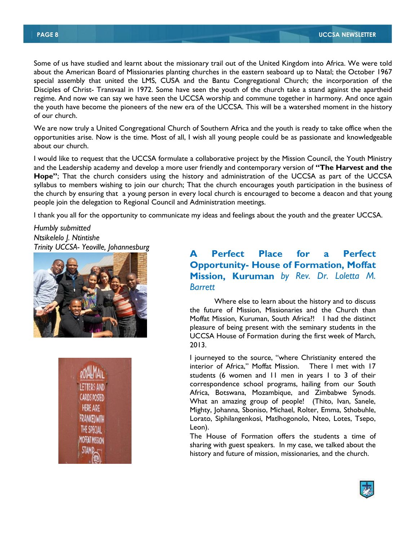Some of us have studied and learnt about the missionary trail out of the United Kingdom into Africa. We were told about the American Board of Missionaries planting churches in the eastern seaboard up to Natal; the October 1967 special assembly that united the LMS, CUSA and the Bantu Congregational Church; the incorporation of the Disciples of Christ- Transvaal in 1972. Some have seen the youth of the church take a stand against the apartheid regime. And now we can say we have seen the UCCSA worship and commune together in harmony. And once again the youth have become the pioneers of the new era of the UCCSA. This will be a watershed moment in the history of our church.

We are now truly a United Congregational Church of Southern Africa and the youth is ready to take office when the opportunities arise. Now is the time. Most of all, I wish all young people could be as passionate and knowledgeable about our church.

I would like to request that the UCCSA formulate a collaborative project by the Mission Council, the Youth Ministry and the Leadership academy and develop a more user friendly and contemporary version of **"The Harvest and the Hope"**; That the church considers using the history and administration of the UCCSA as part of the UCCSA syllabus to members wishing to join our church; That the church encourages youth participation in the business of the church by ensuring that a young person in every local church is encouraged to become a deacon and that young people join the delegation to Regional Council and Administration meetings.

I thank you all for the opportunity to communicate my ideas and feelings about the youth and the greater UCCSA.

*Humbly submitted Ntsikelelo J. Ntintishe*





## *Trinity UCCSA- Yeoville, Johannesburg* **A Perfect Place for a Perfect Opportunity- House of Formation, Moffat Mission, Kuruman** *by Rev. Dr. Loletta M. Barrett*

Where else to learn about the history and to discuss the future of Mission, Missionaries and the Church than Moffat Mission, Kuruman, South Africa?! I had the distinct pleasure of being present with the seminary students in the UCCSA House of Formation during the first week of March, 2013.

I journeyed to the source, "where Christianity entered the interior of Africa," Moffat Mission. There I met with 17 students (6 women and 11 men in years 1 to 3 of their correspondence school programs, hailing from our South Africa, Botswana, Mozambique, and Zimbabwe Synods. What an amazing group of people! (Thito, Ivan, Sanele, Mighty, Johanna, Sboniso, Michael, Rolter, Emma, Sthobuhle, Lorato, Siphilangenkosi, Matlhogonolo, Nteo, Lotes, Tsepo, Leon).

The House of Formation offers the students a time of sharing with guest speakers. In my case, we talked about the history and future of mission, missionaries, and the church.

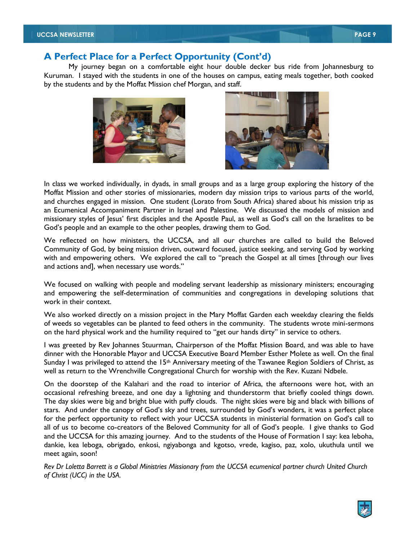My journey began on a comfortable eight hour double decker bus ride from Johannesburg to Kuruman. I stayed with the students in one of the houses on campus, eating meals together, both cooked by the students and by the Moffat Mission chef Morgan, and staff.





In class we worked individually, in dyads, in small groups and as a large group exploring the history of the Moffat Mission and other stories of missionaries, modern day mission trips to various parts of the world, and churches engaged in mission. One student (Lorato from South Africa) shared about his mission trip as an Ecumenical Accompaniment Partner in Israel and Palestine. We discussed the models of mission and missionary styles of Jesus" first disciples and the Apostle Paul, as well as God"s call on the Israelites to be God"s people and an example to the other peoples, drawing them to God.

We reflected on how ministers, the UCCSA, and all our churches are called to build the Beloved Community of God, by being mission driven, outward focused, justice seeking, and serving God by working with and empowering others. We explored the call to "preach the Gospel at all times [through our lives and actions and], when necessary use words."

We focused on walking with people and modeling servant leadership as missionary ministers; encouraging and empowering the self-determination of communities and congregations in developing solutions that work in their context.

We also worked directly on a mission project in the Mary Moffat Garden each weekday clearing the fields of weeds so vegetables can be planted to feed others in the community. The students wrote mini-sermons on the hard physical work and the humility required to "get our hands dirty" in service to others.

I was greeted by Rev Johannes Stuurman, Chairperson of the Moffat Mission Board, and was able to have dinner with the Honorable Mayor and UCCSA Executive Board Member Esther Molete as well. On the final Sunday I was privileged to attend the  $15<sup>th</sup>$  Anniversary meeting of the Tawanee Region Soldiers of Christ, as well as return to the Wrenchville Congregational Church for worship with the Rev. Kuzani Ndbele.

On the doorstep of the Kalahari and the road to interior of Africa, the afternoons were hot, with an occasional refreshing breeze, and one day a lightning and thunderstorm that briefly cooled things down. The day skies were big and bright blue with puffy clouds. The night skies were big and black with billions of stars. And under the canopy of God"s sky and trees, surrounded by God"s wonders, it was a perfect place for the perfect opportunity to reflect with your UCCSA students in ministerial formation on God"s call to all of us to become co-creators of the Beloved Community for all of God"s people. I give thanks to God and the UCCSA for this amazing journey. And to the students of the House of Formation I say: kea leboha, dankie, kea leboga, obrigado, enkosi, ngiyabonga and kgotso, vrede, kagiso, paz, xolo, ukuthula until we meet again, soon!

*Rev Dr Loletta Barrett is a Global Ministries Missionary from the UCCSA ecumenical partner church United Church of Christ (UCC) in the USA.*

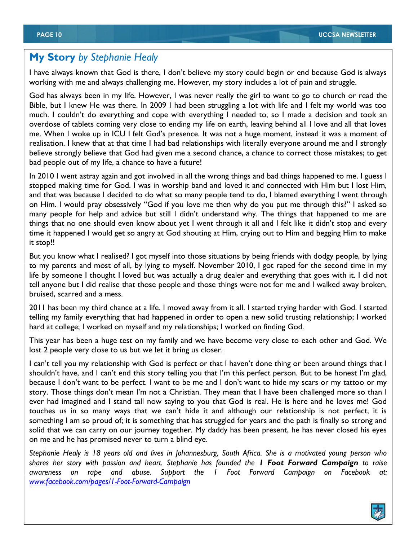## **My Story** *by Stephanie Healy*

I have always known that God is there, I don"t believe my story could begin or end because God is always working with me and always challenging me. However, my story includes a lot of pain and struggle.

God has always been in my life. However, I was never really the girl to want to go to church or read the Bible, but I knew He was there. In 2009 I had been struggling a lot with life and I felt my world was too much. I couldn"t do everything and cope with everything I needed to, so I made a decision and took an overdose of tablets coming very close to ending my life on earth, leaving behind all I love and all that loves me. When I woke up in ICU I felt God"s presence. It was not a huge moment, instead it was a moment of realisation. I knew that at that time I had bad relationships with literally everyone around me and I strongly believe strongly believe that God had given me a second chance, a chance to correct those mistakes; to get bad people out of my life, a chance to have a future!

In 2010 I went astray again and got involved in all the wrong things and bad things happened to me. I guess I stopped making time for God. I was in worship band and loved it and connected with Him but I lost Him, and that was because I decided to do what so many people tend to do, I blamed everything I went through on Him. I would pray obsessively "God if you love me then why do you put me through this?" I asked so many people for help and advice but still I didn't understand why. The things that happened to me are things that no one should even know about yet I went through it all and I felt like it didn"t stop and every time it happened I would get so angry at God shouting at Him, crying out to Him and begging Him to make it stop!!

But you know what I realised? I got myself into those situations by being friends with dodgy people, by lying to my parents and most of all, by lying to myself. November 2010, I got raped for the second time in my life by someone I thought I loved but was actually a drug dealer and everything that goes with it. I did not tell anyone but I did realise that those people and those things were not for me and I walked away broken, bruised, scarred and a mess.

2011 has been my third chance at a life. I moved away from it all. I started trying harder with God. I started telling my family everything that had happened in order to open a new solid trusting relationship; I worked hard at college; I worked on myself and my relationships; I worked on finding God.

This year has been a huge test on my family and we have become very close to each other and God. We lost 2 people very close to us but we let it bring us closer.

I can't tell you my relationship with God is perfect or that I haven't done thing or been around things that I shouldn't have, and I can't end this story telling you that I'm this perfect person. But to be honest I'm glad, because I don"t want to be perfect. I want to be me and I don"t want to hide my scars or my tattoo or my story. Those things don't mean I'm not a Christian. They mean that I have been challenged more so than I ever had imagined and I stand tall now saying to you that God is real. He is here and he loves me! God touches us in so many ways that we can"t hide it and although our relationship is not perfect, it is something I am so proud of; it is something that has struggled for years and the path is finally so strong and solid that we can carry on our journey together. My daddy has been present, he has never closed his eyes on me and he has promised never to turn a blind eye.

*Stephanie Healy is 18 years old and lives in Johannesburg, South Africa. She is a motivated young person who shares her story with passion and heart. Stephanie has founded the 1 Foot Forward Campaign to raise awareness on rape and abuse. Support the 1 Foot Forward Campaign on Facebook at: www.facebook.com/pages/1-Foot-Forward-Campaign*

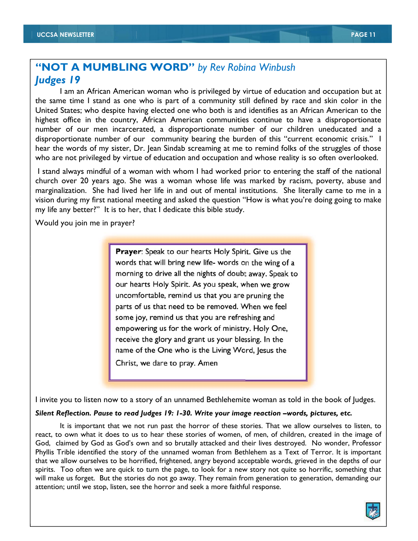## **"NOT A MUMBLING WORD"** *by Rev Robina Winbush Judges 19*

I am an African American woman who is privileged by virtue of education and occupation but at the same time I stand as one who is part of a community still defined by race and skin color in the United States; who despite having elected one who both is and identifies as an African American to the highest office in the country, African American communities continue to have a disproportionate number of our men incarcerated, a disproportionate number of our children uneducated and a disproportionate number of our community bearing the burden of this "current economic crisis." I hear the words of my sister, Dr. Jean Sindab screaming at me to remind folks of the struggles of those who are not privileged by virtue of education and occupation and whose reality is so often overlooked.

I stand always mindful of a woman with whom I had worked prior to entering the staff of the national church over 20 years ago. She was a woman whose life was marked by racism, poverty, abuse and marginalization. She had lived her life in and out of mental institutions. She literally came to me in a vision during my first national meeting and asked the question "How is what you"re doing going to make my life any better?" It is to her, that I dedicate this bible study.

Would you join me in prayer?

Prayer: Speak to our hearts Holy Spirit. Give us the words that will bring new life- words on the wing of a morning to drive all the nights of doubt away. Speak to our hearts Holy Spirit. As you speak, when we grow uncomfortable, remind us that you are pruning the parts of us that need to be removed. When we feel some joy, remind us that you are refreshing and empowering us for the work of ministry. Holy One, receive the glory and grant us your blessing. In the name of the One who is the Living Word, Jesus the Christ, we dare to pray. Amen

I invite you to listen now to a story of an unnamed Bethlehemite woman as told in the book of Judges.

#### *Silent Reflection. Pause to read Judges 19: 1-30. Write your image reaction -words, pictures, etc.*

It is important that we not run past the horror of these stories. That we allow ourselves to listen, to react, to own what it does to us to hear these stories of women, of men, of children, created in the image of God, claimed by God as God"s own and so brutally attacked and their lives destroyed. No wonder, Professor Phyllis Trible identified the story of the unnamed woman from Bethlehem as a Text of Terror. It is important that we allow ourselves to be horrified, frightened, angry beyond acceptable words, grieved in the depths of our spirits. Too often we are quick to turn the page, to look for a new story not quite so horrific, something that will make us forget. But the stories do not go away. They remain from generation to generation, demanding our attention; until we stop, listen, see the horror and seek a more faithful response.

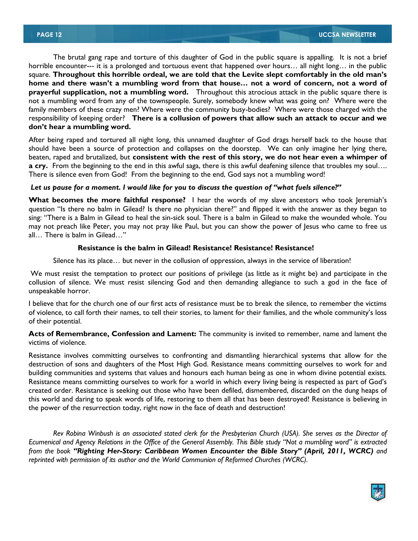The brutal gang rape and torture of this daughter of God in the public square is appalling. It is not a brief horrible encounter--- it is a prolonged and tortuous event that happened over hours... all night long... in the public square. **Throughout this horrible ordeal, we are told that the Levite slept comfortably in the old man's home and there wasn't a mumbling word from that house… not a word of concern, not a word of prayerful supplication, not a mumbling word.** Throughout this atrocious attack in the public square there is not a mumbling word from any of the townspeople. Surely, somebody knew what was going on? Where were the family members of these crazy men? Where were the community busy-bodies? Where were those charged with the responsibility of keeping order? **There is a collusion of powers that allow such an attack to occur and we don't hear a mumbling word.** 

After being raped and tortured all night long, this unnamed daughter of God drags herself back to the house that should have been a source of protection and collapses on the doorstep. We can only imagine her lying there, beaten, raped and brutalized, but **consistent with the rest of this story, we do not hear even a whimper of a cry.** From the beginning to the end in this awful saga, there is this awful deafening silence that troubles my soul…. There is silence even from God! From the beginning to the end, God says not a mumbling word!

#### *Let us pause for a moment. I would like for you to discuss the question of "what fuels silence?"*

**What becomes the more faithful response?** I hear the words of my slave ancestors who took Jeremiah"s question "Is there no balm in Gilead? Is there no physician there?" and flipped it with the answer as they began to sing: "There is a Balm in Gilead to heal the sin-sick soul. There is a balm in Gilead to make the wounded whole. You may not preach like Peter, you may not pray like Paul, but you can show the power of Jesus who came to free us all… There is balm in Gilead…"

#### **Resistance is the balm in Gilead! Resistance! Resistance! Resistance!**

Silence has its place… but never in the collusion of oppression, always in the service of liberation!

We must resist the temptation to protect our positions of privilege (as little as it might be) and participate in the collusion of silence. We must resist silencing God and then demanding allegiance to such a god in the face of unspeakable horror.

I believe that for the church one of our first acts of resistance must be to break the silence, to remember the victims of violence, to call forth their names, to tell their stories, to lament for their families, and the whole community"s loss of their potential.

**Acts of Remembrance, Confession and Lament:** The community is invited to remember, name and lament the victims of violence.

Resistance involves committing ourselves to confronting and dismantling hierarchical systems that allow for the destruction of sons and daughters of the Most High God. Resistance means committing ourselves to work for and building communities and systems that values and honours each human being as one in whom divine potential exists. Resistance means committing ourselves to work for a world in which every living being is respected as part of God"s created order. Resistance is seeking out those who have been defiled, dismembered, discarded on the dung heaps of this world and daring to speak words of life, restoring to them all that has been destroyed! Resistance is believing in the power of the resurrection today, right now in the face of death and destruction!

*Rev Robina Winbush is an associated stated clerk for the Presbyterian Church (USA). She serves as the Director of Ecumenical and Agency Relations in the Office of the General Assembly. This Bible study "Not a mumbling word" is extracted from the book "Righting Her-Story: Caribbean Women Encounter the Bible Story" (April, 2011, WCRC) and reprinted with permission of its author and the World Communion of Reformed Churches (WCRC).* 

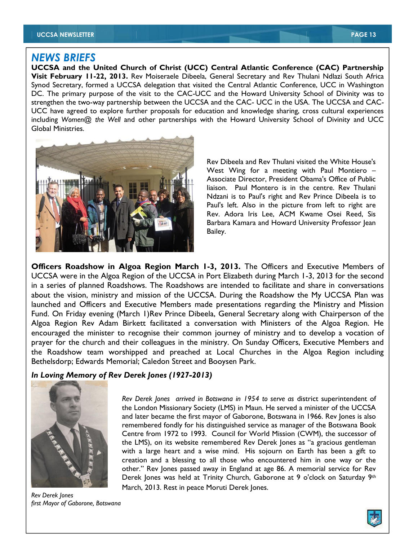#### *NEWS BRIEFS*

**UCCSA and the United Church of Christ (UCC) Central Atlantic Conference (CAC) Partnership Visit February 11-22, 2013.** Rev Moiseraele Dibeela, General Secretary and Rev Thulani Ndlazi South Africa Synod Secretary, formed a UCCSA delegation that visited the Central Atlantic Conference, UCC in Washington DC. The primary purpose of the visit to the CAC-UCC and the Howard University School of Divinity was to strengthen the two-way partnership between the UCCSA and the CAC- UCC in the USA. The UCCSA and CAC-UCC have agreed to explore further proposals for education and knowledge sharing, cross cultural experiences including *Women@ the Well* and other partnerships with the Howard University School of Divinity and UCC Global Ministries.



Rev Dibeela and Rev Thulani visited the White House's West Wing for a meeting with Paul Montiero – Associate Director, President Obama's Office of Public liaison. Paul Montero is in the centre. Rev Thulani Ndzani is to Paul's right and Rev Prince Dibeela is to Paul's left. Also in the picture from left to right are Rev. Adora Iris Lee, ACM Kwame Osei Reed, Sis Barbara Kamara and Howard University Professor Jean Bailey.

**Officers Roadshow in Algoa Region March 1-3, 2013.** The Officers and Executive Members of UCCSA were in the Algoa Region of the UCCSA in Port Elizabeth during March 1-3, 2013 for the second in a series of planned Roadshows. The Roadshows are intended to facilitate and share in conversations about the vision, ministry and mission of the UCCSA. During the Roadshow the My UCCSA Plan was launched and Officers and Executive Members made presentations regarding the Ministry and Mission Fund. On Friday evening (March 1)Rev Prince Dibeela, General Secretary along with Chairperson of the Algoa Region Rev Adam Birkett facilitated a conversation with Ministers of the Algoa Region. He encouraged the minister to recognise their common journey of ministry and to develop a vocation of prayer for the church and their colleagues in the ministry. On Sunday Officers, Executive Members and the Roadshow team worshipped and preached at Local Churches in the Algoa Region including Bethelsdorp; Edwards Memorial; Caledon Street and Booysen Park.

#### *In Loving Memory of Rev Derek Jones (1927-2013)*



*Rev Derek Jones first Mayor of Gaborone, Botswana* 

*Rev Derek Jones arrived in Botswana in 1954 to serve as* district superintendent of the London Missionary Society (LMS) in Maun. He served a minister of the UCCSA and later became the first mayor of Gaborone, Botswana in 1966. Rev Jones is also remembered fondly for his distinguished service as manager of the Botswana Book Centre from 1972 to 1993. Council for World Mission (CWM), the successor of the LMS), on its website remembered Rev Derek Jones as "a gracious gentleman with a large heart and a wise mind. His sojourn on Earth has been a gift to creation and a blessing to all those who encountered him in one way or the other." Rev Jones passed away in England at age 86. A memorial service for Rev Derek Jones was held at Trinity Church, Gaborone at 9 o'clock on Saturday 9th March, 2013. Rest in peace Moruti Derek Jones.

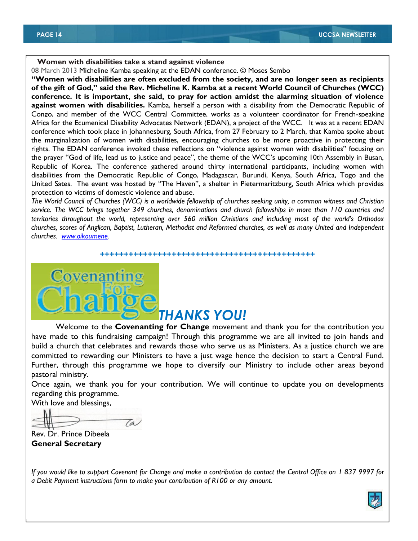#### **Women with disabilities take a stand against violence**

08 March 2013 Micheline Kamba speaking at the EDAN conference. © Moses Sembo

**"Women with disabilities are often excluded from the society, and are no longer seen as recipients of the gift of God," said the Rev. Micheline K. Kamba at a recent World Council of Churches (WCC) conference. It is important, she said, to pray for action amidst the alarming situation of violence against women with disabilities.** Kamba, herself a person with a disability from the Democratic Republic of Congo, and member of the WCC Central Committee, works as a volunteer coordinator for French-speaking Africa for the Ecumenical Disability Advocates Network (EDAN), a project of the WCC. It was at a recent EDAN conference which took place in Johannesburg, South Africa, from 27 February to 2 March, that Kamba spoke about the marginalization of women with disabilities, encouraging churches to be more proactive in protecting their rights. The EDAN conference invoked these reflections on "violence against women with disabilities" focusing on the prayer "God of life, lead us to justice and peace", the theme of the WCC"s upcoming 10th Assembly in Busan, Republic of Korea. The conference gathered around thirty international participants, including women with disabilities from the Democratic Republic of Congo, Madagascar, Burundi, Kenya, South Africa, Togo and the United Sates. The event was hosted by "The Haven", a shelter in Pietermaritzburg, South Africa which provides protection to victims of domestic violence and abuse.

*The World Council of Churches (WCC) is a worldwide fellowship of churches seeking unity, a common witness and Christian service. The WCC brings together 349 churches, denominations and church fellowships in more than 110 countries and territories throughout the world, representing over 560 million Christians and including most of the world's Orthodox churches, scores of Anglican, Baptist, Lutheran, Methodist and Reformed churches, as well as many United and Independent churches. www.oikoumene.* 

#### **+++++++++++++++++++++++++++++++++++++++++++++**

# **Covenanting** *THANKS YOU!*

Welcome to the **Covenanting for Change** movement and thank you for the contribution you have made to this fundraising campaign! Through this programme we are all invited to join hands and build a church that celebrates and rewards those who serve us as Ministers. As a justice church we are committed to rewarding our Ministers to have a just wage hence the decision to start a Central Fund. Further, through this programme we hope to diversify our Ministry to include other areas beyond pastoral ministry.

Once again, we thank you for your contribution. We will continue to update you on developments regarding this programme.

With love and blessings,

Ta

Rev. Dr. Prince Dibeela **General Secretary** 

*If you would like to support Covenant for Change and make a contribution do contact the Central Office on 1 837 9997 for a Debit Payment instructions form to make your contribution of R100 or any amount.* 

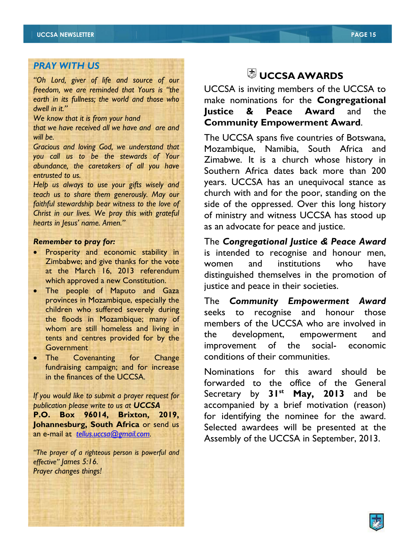### *PRAY WITH US*

*"Oh Lord, giver of life and source of our freedom, we are reminded that Yours is "the earth in its fullness; the world and those who dwell in it."* 

*We know that it is from your hand* 

*that we have received all we have and are and will be.* 

*Gracious and loving God, we understand that you call us to be the stewards of Your abundance, the caretakers of all you have entrusted to us.* 

*Help us always to use your gifts wisely and teach us to share them generously. May our faithful stewardship bear witness to the love of Christ in our lives. We pray this with grateful hearts in Jesus' name. Amen."*

#### *Remember to pray for:*

- **•** Prosperity and economic stability in Zimbabwe; and give thanks for the vote at the March 16, 2013 referendum which approved a new Constitution.
- The people of Maputo and Gaza provinces in Mozambique, especially the children who suffered severely during the floods in Mozambique; many of whom are still homeless and living in tents and centres provided for by the **Government**
- The Covenanting for Change fundraising campaign; and for increase in the finances of the UCCSA.

*If you would like to submit a prayer request for publication please write to us at UCCSA*  **P.O. Box 96014, Brixton, 2019, Johannesburg, South Africa** or send us an e-mail at *tellus.uccsa@gmail.com.* 

*"The prayer of a righteous person is powerful and effective" James 5:16. Prayer changes things!* 

## **UCCSA AWARDS**

UCCSA is inviting members of the UCCSA to make nominations for the **Congregational Justice & Peace Award** and the **Community Empowerment Award**.

The UCCSA spans five countries of Botswana, Mozambique, Namibia, South Africa and Zimabwe. It is a church whose history in Southern Africa dates back more than 200 years. UCCSA has an unequivocal stance as church with and for the poor, standing on the side of the oppressed. Over this long history of ministry and witness UCCSA has stood up as an advocate for peace and justice.

The *Congregational Justice & Peace Award* is intended to recognise and honour men, women and institutions who have distinguished themselves in the promotion of justice and peace in their societies.

The *Community Empowerment Award*  seeks to recognise and honour those members of the UCCSA who are involved in the development, empowerment and improvement of the social- economic conditions of their communities.

Nominations for this award should be forwarded to the office of the General Secretary by 31<sup>st</sup> May, 2013 and be accompanied by a brief motivation (reason) for identifying the nominee for the award. Selected awardees will be presented at the Assembly of the UCCSA in September, 2013.